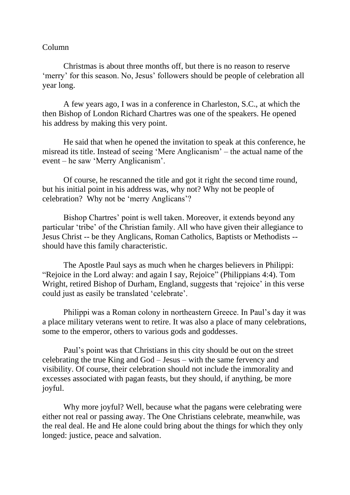## Column

Christmas is about three months off, but there is no reason to reserve 'merry' for this season. No, Jesus' followers should be people of celebration all year long.

A few years ago, I was in a conference in Charleston, S.C., at which the then Bishop of London Richard Chartres was one of the speakers. He opened his address by making this very point.

He said that when he opened the invitation to speak at this conference, he misread its title. Instead of seeing 'Mere Anglicanism' – the actual name of the event – he saw 'Merry Anglicanism'.

Of course, he rescanned the title and got it right the second time round, but his initial point in his address was, why not? Why not be people of celebration? Why not be 'merry Anglicans'?

Bishop Chartres' point is well taken. Moreover, it extends beyond any particular 'tribe' of the Christian family. All who have given their allegiance to Jesus Christ -- be they Anglicans, Roman Catholics, Baptists or Methodists - should have this family characteristic.

The Apostle Paul says as much when he charges believers in Philippi: "Rejoice in the Lord alway: and again I say, Rejoice" (Philippians 4:4). Tom Wright, retired Bishop of Durham, England, suggests that 'rejoice' in this verse could just as easily be translated 'celebrate'.

Philippi was a Roman colony in northeastern Greece. In Paul's day it was a place military veterans went to retire. It was also a place of many celebrations, some to the emperor, others to various gods and goddesses.

Paul's point was that Christians in this city should be out on the street celebrating the true King and God – Jesus – with the same fervency and visibility. Of course, their celebration should not include the immorality and excesses associated with pagan feasts, but they should, if anything, be more joyful.

Why more joyful? Well, because what the pagans were celebrating were either not real or passing away. The One Christians celebrate, meanwhile, was the real deal. He and He alone could bring about the things for which they only longed: justice, peace and salvation.